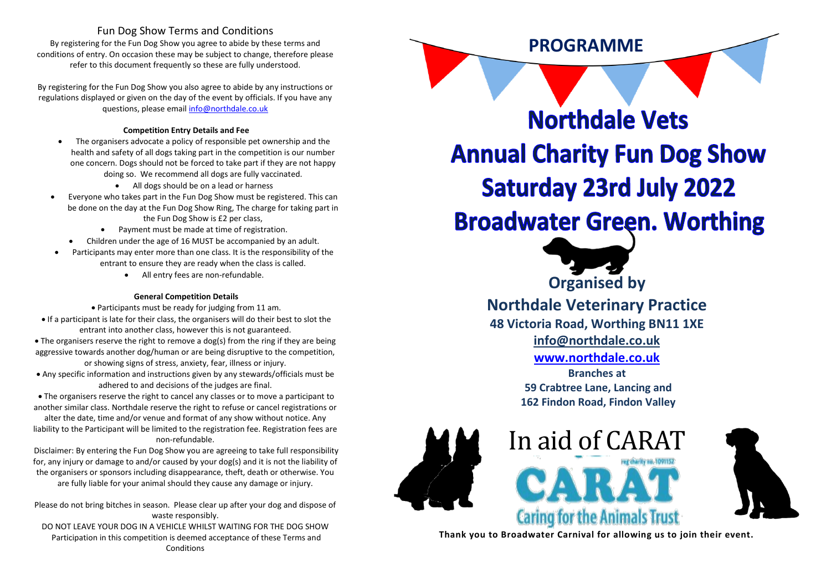### Fun Dog Show Terms and Conditions

By registering for the Fun Dog Show you agree to abide by these terms and conditions of entry. On occasion these may be subject to change, therefore please refer to this document frequently so these are fully understood.

By registering for the Fun Dog Show you also agree to abide by any instructions or regulations displayed or given on the day of the event by officials. If you have any questions, please emai[l info@northdale.co.uk](mailto:info@northdale.co.uk)

#### **Competition Entry Details and Fee**

- The organisers advocate a policy of responsible pet ownership and the health and safety of all dogs taking part in the competition is our number one concern. Dogs should not be forced to take part if they are not happy doing so. We recommend all dogs are fully vaccinated.
	- All dogs should be on a lead or harness
- Everyone who takes part in the Fun Dog Show must be registered. This can be done on the day at the Fun Dog Show Ring, The charge for taking part in the Fun Dog Show is £2 per class,
	- Payment must be made at time of registration.
	- Children under the age of 16 MUST be accompanied by an adult.
- Participants may enter more than one class. It is the responsibility of the entrant to ensure they are ready when the class is called.
	- All entry fees are non-refundable.

#### **General Competition Details**

• Participants must be ready for judging from 11 am. • If a participant is late for their class, the organisers will do their best to slot the entrant into another class, however this is not guaranteed. • The organisers reserve the right to remove a dog(s) from the ring if they are being aggressive towards another dog/human or are being disruptive to the competition,

or showing signs of stress, anxiety, fear, illness or injury.

• Any specific information and instructions given by any stewards/officials must be adhered to and decisions of the judges are final.

• The organisers reserve the right to cancel any classes or to move a participant to another similar class. Northdale reserve the right to refuse or cancel registrations or

alter the date, time and/or venue and format of any show without notice. Any liability to the Participant will be limited to the registration fee. Registration fees are non-refundable.

Disclaimer: By entering the Fun Dog Show you are agreeing to take full responsibility for, any injury or damage to and/or caused by your dog(s) and it is not the liability of the organisers or sponsors including disappearance, theft, death or otherwise. You are fully liable for your animal should they cause any damage or injury.

Please do not bring bitches in season. Please clear up after your dog and dispose of waste responsibly.

DO NOT LEAVE YOUR DOG IN A VEHICLE WHILST WAITING FOR THE DOG SHOW Participation in this competition is deemed acceptance of these Terms and Conditions

**Northdale Vets Annual Charity Fun Dog Show Saturday 23rd July 2022 Broadwater Green. Worthing** 

**PROGRAMME**



**Northdale Veterinary Practice**

**48 Victoria Road, Worthing BN11 1XE**

**[info@northdale.co.uk](mailto:info@northdale.co.uk)**

**[www.northdale.co.uk](http://www.northdale.co.uk/)**

**Branches at 59 Crabtree Lane, Lancing and 162 Findon Road, Findon Valley**





**Thank you to Broadwater Carnival for allowing us to join their event.**